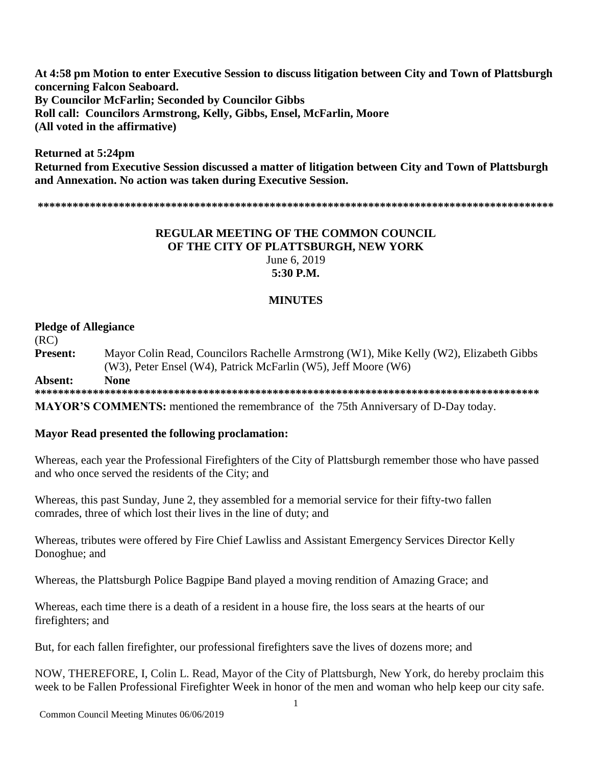**At 4:58 pm Motion to enter Executive Session to discuss litigation between City and Town of Plattsburgh concerning Falcon Seaboard. By Councilor McFarlin; Seconded by Councilor Gibbs Roll call: Councilors Armstrong, Kelly, Gibbs, Ensel, McFarlin, Moore (All voted in the affirmative)**

**Returned at 5:24pm Returned from Executive Session discussed a matter of litigation between City and Town of Plattsburgh and Annexation. No action was taken during Executive Session.**

**\*\*\*\*\*\*\*\*\*\*\*\*\*\*\*\*\*\*\*\*\*\*\*\*\*\*\*\*\*\*\*\*\*\*\*\*\*\*\*\*\*\*\*\*\*\*\*\*\*\*\*\*\*\*\*\*\*\*\*\*\*\*\*\*\*\*\*\*\*\*\*\*\*\*\*\*\*\*\*\*\*\*\*\*\*\*\*\*\***

### **REGULAR MEETING OF THE COMMON COUNCIL OF THE CITY OF PLATTSBURGH, NEW YORK** June 6, 2019 **5:30 P.M.**

### **MINUTES**

### **Pledge of Allegiance**

(RC) **Present:** Mayor Colin Read, Councilors Rachelle Armstrong (W1), Mike Kelly (W2), Elizabeth Gibbs (W3), Peter Ensel (W4), Patrick McFarlin (W5), Jeff Moore (W6) **Absent: None**

**\*\*\*\*\*\*\*\*\*\*\*\*\*\*\*\*\*\*\*\*\*\*\*\*\*\*\*\*\*\*\*\*\*\*\*\*\*\*\*\*\*\*\*\*\*\*\*\*\*\*\*\*\*\*\*\*\*\*\*\*\*\*\*\*\*\*\*\*\*\*\*\*\*\*\*\*\*\*\*\*\*\*\*\*\*\*\* MAYOR'S COMMENTS:** mentioned the remembrance of the 75th Anniversary of D-Day today.

### **Mayor Read presented the following proclamation:**

Whereas, each year the Professional Firefighters of the City of Plattsburgh remember those who have passed and who once served the residents of the City; and

Whereas, this past Sunday, June 2, they assembled for a memorial service for their fifty-two fallen comrades, three of which lost their lives in the line of duty; and

Whereas, tributes were offered by Fire Chief Lawliss and Assistant Emergency Services Director Kelly Donoghue; and

Whereas, the Plattsburgh Police Bagpipe Band played a moving rendition of Amazing Grace; and

Whereas, each time there is a death of a resident in a house fire, the loss sears at the hearts of our firefighters; and

But, for each fallen firefighter, our professional firefighters save the lives of dozens more; and

NOW, THEREFORE, I, Colin L. Read, Mayor of the City of Plattsburgh, New York, do hereby proclaim this week to be Fallen Professional Firefighter Week in honor of the men and woman who help keep our city safe.

Common Council Meeting Minutes 06/06/2019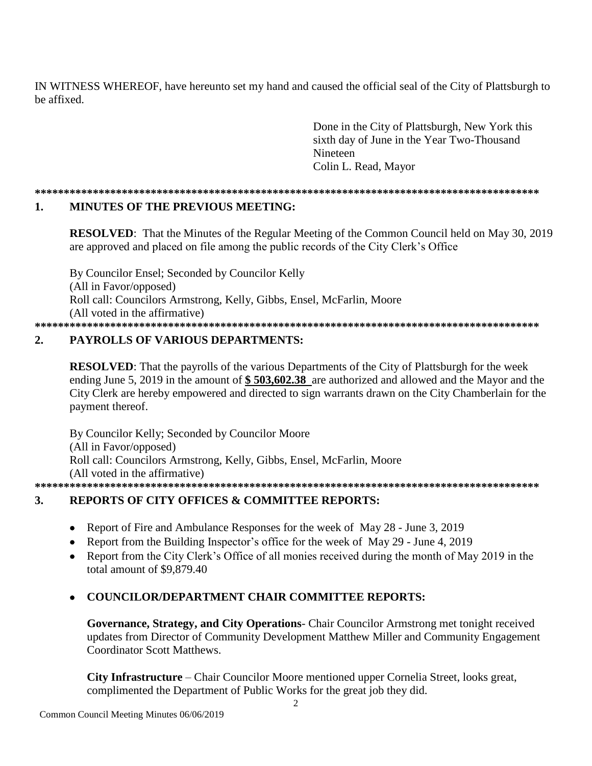IN WITNESS WHEREOF, have hereunto set my hand and caused the official seal of the City of Plattsburgh to be affixed.

> Done in the City of Plattsburgh, New York this sixth day of June in the Year Two-Thousand **Nineteen** Colin L. Read, Mayor

#### 1. **MINUTES OF THE PREVIOUS MEETING:**

**RESOLVED:** That the Minutes of the Regular Meeting of the Common Council held on May 30, 2019 are approved and placed on file among the public records of the City Clerk's Office

By Councilor Ensel; Seconded by Councilor Kelly (All in Favor/opposed) Roll call: Councilors Armstrong, Kelly, Gibbs, Ensel, McFarlin, Moore (All voted in the affirmative) 

#### $2.$ **PAYROLLS OF VARIOUS DEPARTMENTS:**

**RESOLVED:** That the payrolls of the various Departments of the City of Plattsburgh for the week ending June 5, 2019 in the amount of \$503,602.38 are authorized and allowed and the Mayor and the City Clerk are hereby empowered and directed to sign warrants drawn on the City Chamberlain for the payment thereof.

By Councilor Kelly; Seconded by Councilor Moore (All in Favor/opposed) Roll call: Councilors Armstrong, Kelly, Gibbs, Ensel, McFarlin, Moore (All voted in the affirmative) 

#### **REPORTS OF CITY OFFICES & COMMITTEE REPORTS:** 3.

- Report of Fire and Ambulance Responses for the week of May 28 June 3, 2019  $\bullet$
- Report from the Building Inspector's office for the week of May 29 June 4, 2019
- Report from the City Clerk's Office of all monies received during the month of May 2019 in the total amount of \$9,879.40

### **COUNCILOR/DEPARTMENT CHAIR COMMITTEE REPORTS:**

Governance, Strategy, and City Operations- Chair Councilor Armstrong met tonight received updates from Director of Community Development Matthew Miller and Community Engagement **Coordinator Scott Matthews.** 

City Infrastructure – Chair Councilor Moore mentioned upper Cornelia Street, looks great, complimented the Department of Public Works for the great job they did.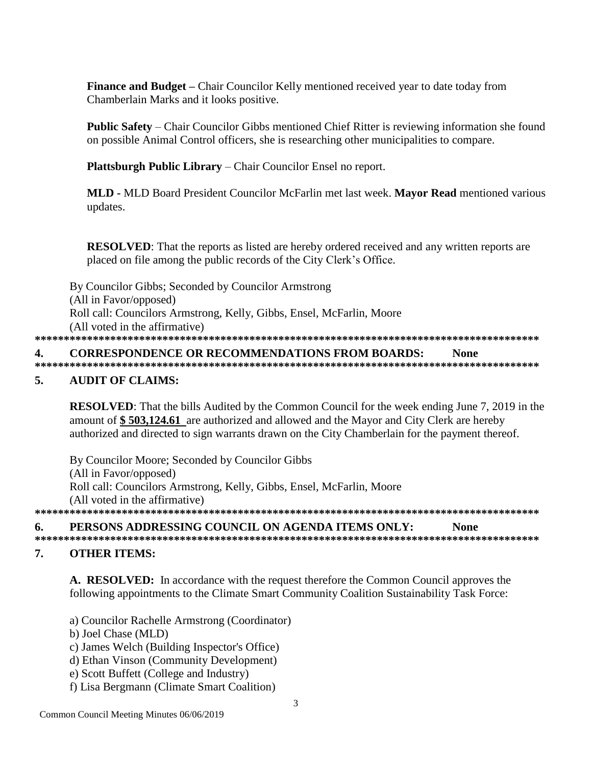**Finance and Budget** – Chair Councilor Kelly mentioned received year to date today from Chamberlain Marks and it looks positive.

**Public Safety** – Chair Councilor Gibbs mentioned Chief Ritter is reviewing information she found on possible Animal Control officers, she is researching other municipalities to compare.

Plattsburgh Public Library – Chair Councilor Ensel no report.

MLD - MLD Board President Councilor McFarlin met last week. Mayor Read mentioned various updates.

**RESOLVED:** That the reports as listed are hereby ordered received and any written reports are placed on file among the public records of the City Clerk's Office.

By Councilor Gibbs; Seconded by Councilor Armstrong (All in Favor/opposed) Roll call: Councilors Armstrong, Kelly, Gibbs, Ensel, McFarlin, Moore (All voted in the affirmative) 

#### $\overline{4}$ . **CORRESPONDENCE OR RECOMMENDATIONS FROM BOARDS: None**

#### 5. **AUDIT OF CLAIMS:**

**RESOLVED:** That the bills Audited by the Common Council for the week ending June 7, 2019 in the amount of \$503,124.61 are authorized and allowed and the Mayor and City Clerk are hereby authorized and directed to sign warrants drawn on the City Chamberlain for the payment thereof.

By Councilor Moore; Seconded by Councilor Gibbs (All in Favor/opposed) Roll call: Councilors Armstrong, Kelly, Gibbs, Ensel, McFarlin, Moore (All voted in the affirmative) 

#### PERSONS ADDRESSING COUNCIL ON AGENDA ITEMS ONLY: 6. **None**

### **OTHER ITEMS:**  $7<sub>1</sub>$

A. RESOLVED: In accordance with the request therefore the Common Council approves the following appointments to the Climate Smart Community Coalition Sustainability Task Force:

- a) Councilor Rachelle Armstrong (Coordinator)
- b) Joel Chase (MLD)
- c) James Welch (Building Inspector's Office)
- d) Ethan Vinson (Community Development)
- e) Scott Buffett (College and Industry)
- f) Lisa Bergmann (Climate Smart Coalition)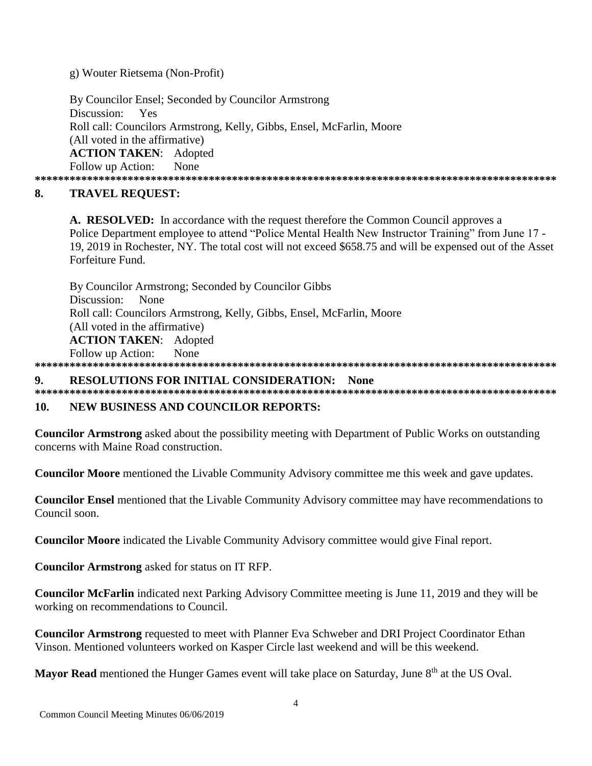g) Wouter Rietsema (Non-Profit)

By Councilor Ensel; Seconded by Councilor Armstrong Discussion: Yes Roll call: Councilors Armstrong, Kelly, Gibbs, Ensel, McFarlin, Moore (All voted in the affirmative) **ACTION TAKEN: Adopted** Follow up Action: None 

### 8. **TRAVEL REOUEST:**

A. RESOLVED: In accordance with the request therefore the Common Council approves a Police Department employee to attend "Police Mental Health New Instructor Training" from June 17 -19, 2019 in Rochester, NY. The total cost will not exceed \$658.75 and will be expensed out of the Asset Forfeiture Fund.

By Councilor Armstrong; Seconded by Councilor Gibbs Discussion: None Roll call: Councilors Armstrong, Kelly, Gibbs, Ensel, McFarlin, Moore (All voted in the affirmative) **ACTION TAKEN:** Adopted None Follow up Action:

## 

#### 9. **RESOLUTIONS FOR INITIAL CONSIDERATION: None**

#### 10. **NEW BUSINESS AND COUNCILOR REPORTS:**

**Councilor Armstrong** asked about the possibility meeting with Department of Public Works on outstanding concerns with Maine Road construction.

**Councilor Moore** mentioned the Livable Community Advisory committee me this week and gave updates.

**Councilor Ensel** mentioned that the Livable Community Advisory committee may have recommendations to Council soon.

Councilor Moore indicated the Livable Community Advisory committee would give Final report.

**Councilor Armstrong** asked for status on IT RFP.

Councilor McFarlin indicated next Parking Advisory Committee meeting is June 11, 2019 and they will be working on recommendations to Council.

**Councilor Armstrong** requested to meet with Planner Eva Schweber and DRI Project Coordinator Ethan Vinson. Mentioned volunteers worked on Kasper Circle last weekend and will be this weekend.

Mayor Read mentioned the Hunger Games event will take place on Saturday, June 8<sup>th</sup> at the US Oval.